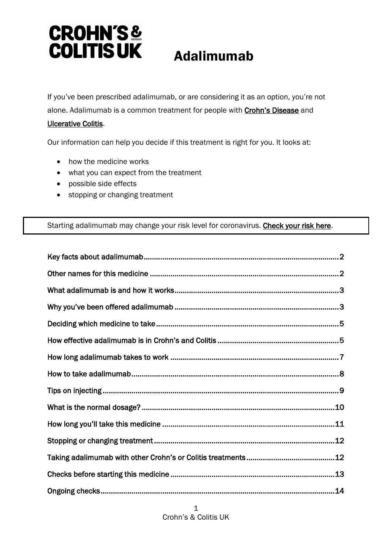# **CROHN'S& COLITIS UK** Adalimumab

If you've been prescribed adalimumab, or are considering it as an option, you're not alone. Adalimumab is a common treatment for people with **Crohn's Disease** and [Ulcerative Colitis.](https://www.crohnsandcolitis.org.uk/about-crohns-and-colitis/publications/ulcerative-colitis)

Our information can help you decide if this treatment is right for you. It looks at:

- how the medicine works
- what you can expect from the treatment
- possible side effects
- stopping or changing treatment

### Starting adalimumab may change your risk level for coronavirus. [Check your risk here.](https://www.crohnsandcolitis.org.uk/news/advice-for-people-with-crohns-and-colitis-self-isolation-social-distancing#what)

| .13 |
|-----|
|     |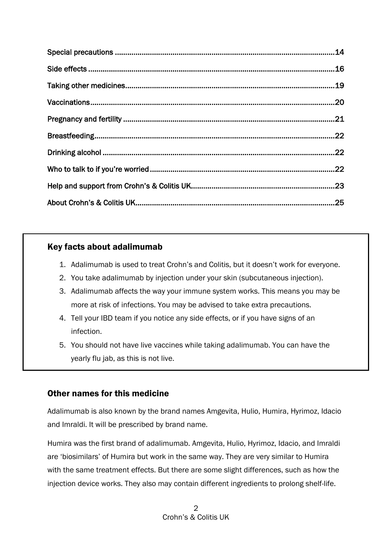# <span id="page-1-0"></span>Key facts about adalimumab

 $\overline{a}$ 

- 1. Adalimumab is used to treat Crohn's and Colitis, but it doesn't work for everyone.
- 2. You take adalimumab by injection under your skin (subcutaneous injection).
- 3. Adalimumab affects the way your immune system works. This means you may be more at risk of infections. You may be advised to take extra precautions.
- 4. Tell your IBD team if you notice any side effects, or if you have signs of an infection.
- 5. You should not have live vaccines while taking adalimumab. You can have the yearly flu jab, as this is not live.

# <span id="page-1-1"></span>Other names for this medicine

Adalimumab is also known by the brand names Amgevita, Hulio, Humira, Hyrimoz, Idacio and Imraldi. It will be prescribed by brand name.

Humira was the first brand of adalimumab. Amgevita, Hulio, Hyrimoz, Idacio, and Imraldi are 'biosimilars' of Humira but work in the same way. They are very similar to Humira with the same treatment effects. But there are some slight differences, such as how the injection device works. They also may contain different ingredients to prolong shelf-life.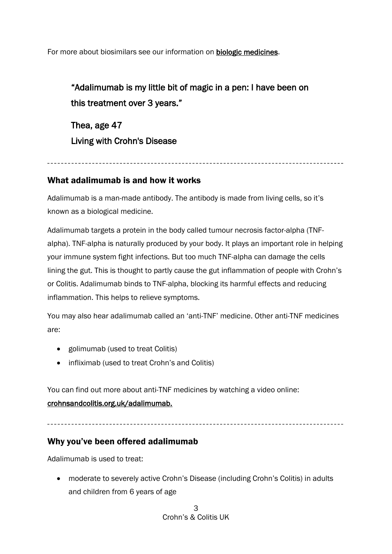For more about biosimilars see our information on [biologic medicines.](https://www.crohnsandcolitis.org.uk/about-crohns-and-colitis/publications/biologic-medicines)

"Adalimumab is my little bit of magic in a pen: I have been on this treatment over 3 years."

Thea, age 47 Living with Crohn's Disease

# <span id="page-2-0"></span>What adalimumab is and how it works

Adalimumab is a man-made antibody. The antibody is made from living cells, so it's known as a biological medicine.

Adalimumab targets a protein in the body called tumour necrosis factor-alpha (TNFalpha). TNF-alpha is naturally produced by your body. It plays an important role in helping your immune system fight infections. But too much TNF-alpha can damage the cells lining the gut. This is thought to partly cause the gut inflammation of people with Crohn's or Colitis. Adalimumab binds to TNF-alpha, blocking its harmful effects and reducing inflammation. This helps to relieve symptoms.

You may also hear adalimumab called an 'anti-TNF' medicine. Other anti-TNF medicines are:

- golimumab (used to treat Colitis)
- infliximab (used to treat Crohn's and Colitis)

You can find out more about anti-TNF medicines by watching a video online: [crohnsandcolitis.org.uk/adalimumab.](https://www.crohnsandcolitis.org.uk/about-crohns-and-colitis/publications/adalimumab)

# <span id="page-2-1"></span>Why you've been offered adalimumab

Adalimumab is used to treat:

• moderate to severely active Crohn's Disease (including Crohn's Colitis) in adults and children from 6 years of age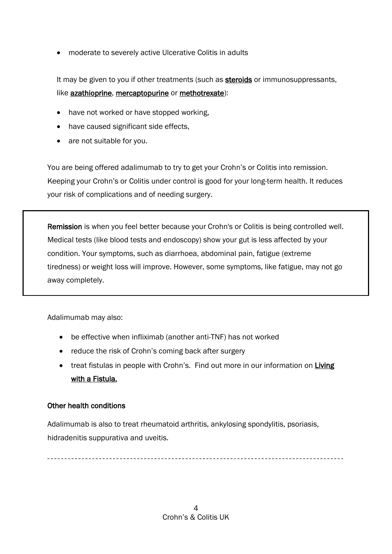• moderate to severely active Ulcerative Colitis in adults

It may be given to you if other treatments (such as **steroids** or immunosuppressants, like **azathioprine**, mercaptopurine or [methotrexate\)](https://www.crohnsandcolitis.org.uk/about-crohns-and-colitis/publications/methotrexate):

- have not worked or have stopped working.
- have caused significant side effects,
- are not suitable for you.

You are being offered adalimumab to try to get your Crohn's or Colitis into remission. Keeping your Crohn's or Colitis under control is good for your long-term health. It reduces your risk of complications and of needing surgery.

Remission is when you feel better because your Crohn's or Colitis is being controlled well. Medical tests (like blood tests and endoscopy) show your gut is less affected by your condition. Your symptoms, such as diarrhoea, abdominal pain, fatigue (extreme tiredness) or weight loss will improve. However, some symptoms, like fatigue, may not go away completely.

Adalimumab may also:

- be effective when infliximab (another anti-TNF) has not worked
- reduce the risk of Crohn's coming back after surgery
- treat fistulas in people with Crohn's. Find out more in our information on Living [with a Fistula.](https://crohnsandcolitisuk.sharepoint.com/sites/SupportandInformation/Shared%20Documents/Publications/1.%20Approved%20Publications/Drug%20Treatment%20Info/Anti-TNFS%20-%20Nov%202020/Drafts/fsd)

#### Other health conditions

Adalimumab is also to treat rheumatoid arthritis, ankylosing spondylitis, psoriasis, hidradenitis suppurativa and uveitis.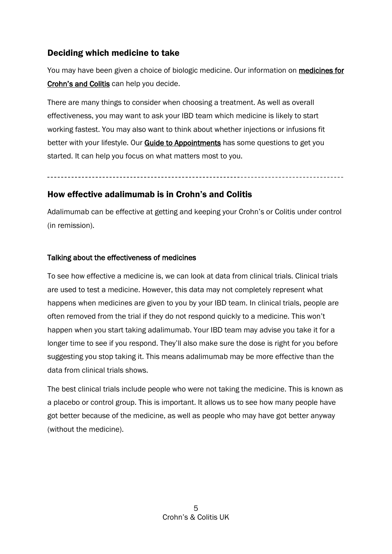# <span id="page-4-0"></span>Deciding which medicine to take

You may have been given a choice of biologic medicine. Our information on medicines for [Crohn's and Colitis](https://www.crohnsandcolitis.org.uk/about-crohns-and-colitis/treatments) can help you decide.

There are many things to consider when choosing a treatment. As well as overall effectiveness, you may want to ask your IBD team which medicine is likely to start working fastest. You may also want to think about whether injections or infusions fit better with your lifestyle. Our **Guide to Appointments** has some questions to get you started. It can help you focus on what matters most to you.

# <span id="page-4-1"></span>How effective adalimumab is in Crohn's and Colitis

Adalimumab can be effective at getting and keeping your Crohn's or Colitis under control (in remission).

#### Talking about the effectiveness of medicines

To see how effective a medicine is, we can look at data from clinical trials. Clinical trials are used to test a medicine. However, this data may not completely represent what happens when medicines are given to you by your IBD team. In clinical trials, people are often removed from the trial if they do not respond quickly to a medicine. This won't happen when you start taking adalimumab. Your IBD team may advise you take it for a longer time to see if you respond. They'll also make sure the dose is right for you before suggesting you stop taking it. This means adalimumab may be more effective than the data from clinical trials shows.

The best clinical trials include people who were not taking the medicine. This is known as a placebo or control group. This is important. It allows us to see how many people have got better because of the medicine, as well as people who may have got better anyway (without the medicine).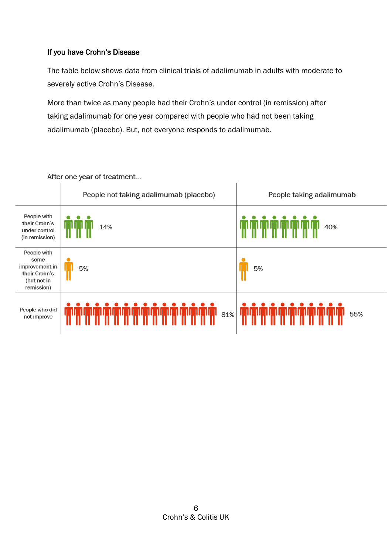# If you have Crohn's Disease

The table below shows data from clinical trials of adalimumab in adults with moderate to severely active Crohn's Disease.

More than twice as many people had their Crohn's under control (in remission) after taking adalimumab for one year compared with people who had not been taking adalimumab (placebo). But, not everyone responds to adalimumab.

|                                                                                     | People not taking adalimumab (placebo) | People taking adalimumab |
|-------------------------------------------------------------------------------------|----------------------------------------|--------------------------|
| People with<br>their Crohn's<br>under control<br>(in remission)                     | 14%                                    | 40%                      |
| People with<br>some<br>improvement in<br>their Crohn's<br>(but not in<br>remission) | 5%                                     | 5%                       |
| People who did<br>not improve                                                       | 81%                                    | 55%                      |

After one year of treatment...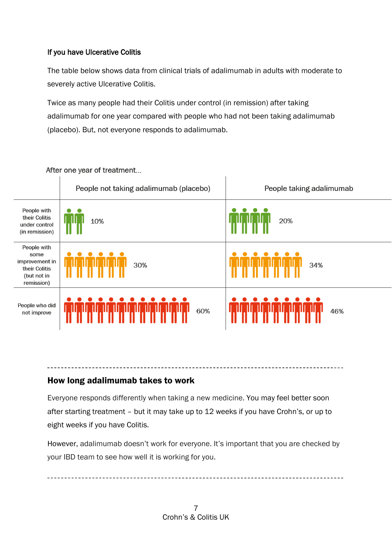# If you have Ulcerative Colitis

The table below shows data from clinical trials of adalimumab in adults with moderate to severely active Ulcerative Colitis.

Twice as many people had their Colitis under control (in remission) after taking adalimumab for one year compared with people who had not been taking adalimumab (placebo). But, not everyone responds to adalimumab.



After one year of treatment...

# <span id="page-6-0"></span>How long adalimumab takes to work

Everyone responds differently when taking a new medicine. You may feel better soon after starting treatment – but it may take up to 12 weeks if you have Crohn's, or up to eight weeks if you have Colitis.

However, adalimumab doesn't work for everyone. It's important that you are checked by your IBD team to see how well it is working for you.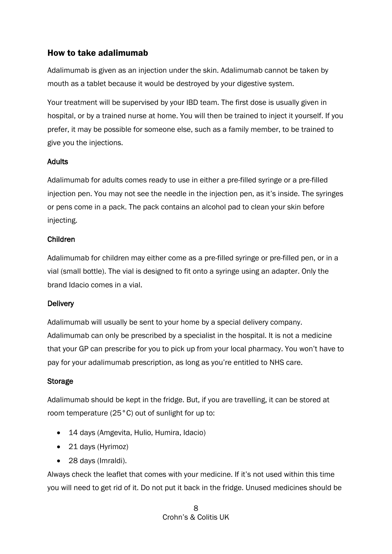# <span id="page-7-0"></span>How to take adalimumab

Adalimumab is given as an injection under the skin. Adalimumab cannot be taken by mouth as a tablet because it would be destroyed by your digestive system.

Your treatment will be supervised by your IBD team. The first dose is usually given in hospital, or by a trained nurse at home. You will then be trained to inject it yourself. If you prefer, it may be possible for someone else, such as a family member, to be trained to give you the injections.

# Adults

Adalimumab for adults comes ready to use in either a pre-filled syringe or a pre-filled injection pen. You may not see the needle in the injection pen, as it's inside. The syringes or pens come in a pack. The pack contains an alcohol pad to clean your skin before injecting.

### Children

Adalimumab for children may either come as a pre-filled syringe or pre-filled pen, or in a vial (small bottle). The vial is designed to fit onto a syringe using an adapter. Only the brand Idacio comes in a vial.

# **Delivery**

Adalimumab will usually be sent to your home by a special delivery company. Adalimumab can only be prescribed by a specialist in the hospital. It is not a medicine that your GP can prescribe for you to pick up from your local pharmacy. You won't have to pay for your adalimumab prescription, as long as you're entitled to NHS care.

### Storage

Adalimumab should be kept in the fridge. But, if you are travelling, it can be stored at room temperature (25°C) out of sunlight for up to:

- 14 days (Amgevita, Hulio, Humira, Idacio)
- 21 days (Hyrimoz)
- 28 days (Imraldi).

Always check the leaflet that comes with your medicine. If it's not used within this time you will need to get rid of it. Do not put it back in the fridge. Unused medicines should be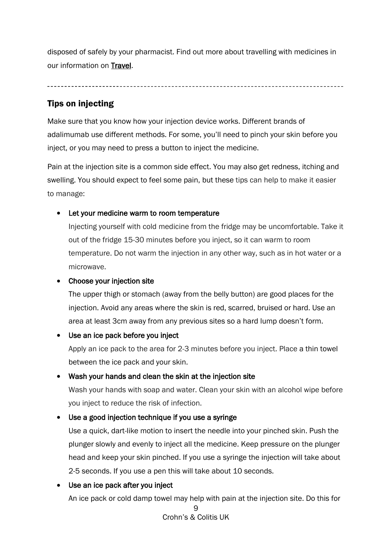disposed of safely by your pharmacist. Find out more about travelling with medicines in our information on [Travel.](https://www.crohnsandcolitis.org.uk/about-crohns-and-colitis/publications/travel-ibd)

# <span id="page-8-0"></span>Tips on injecting

Make sure that you know how your injection device works. Different brands of adalimumab use different methods. For some, you'll need to pinch your skin before you inject, or you may need to press a button to inject the medicine.

Pain at the injection site is a common side effect. You may also get redness, itching and swelling. You should expect to feel some pain, but these tips can help to make it easier to manage:

# Let your medicine warm to room temperature

Injecting yourself with cold medicine from the fridge may be uncomfortable. Take it out of the fridge 15-30 minutes before you inject, so it can warm to room temperature. Do not warm the injection in any other way, such as in hot water or a microwave.

# • Choose your injection site

The upper thigh or stomach (away from the belly button) are good places for the injection. Avoid any areas where the skin is red, scarred, bruised or hard. Use an area at least 3cm away from any previous sites so a hard lump doesn't form.

# • Use an ice pack before you inject

Apply an ice pack to the area for 2-3 minutes before you inject. Place a thin towel between the ice pack and your skin.

### • Wash your hands and clean the skin at the injection site

Wash your hands with soap and water. Clean your skin with an alcohol wipe before you inject to reduce the risk of infection.

# • Use a good injection technique if you use a syringe

Use a quick, dart-like motion to insert the needle into your pinched skin. Push the plunger slowly and evenly to inject all the medicine. Keep pressure on the plunger head and keep your skin pinched. If you use a syringe the injection will take about 2-5 seconds. If you use a pen this will take about 10 seconds.

# • Use an ice pack after you inject

An ice pack or cold damp towel may help with pain at the injection site. Do this for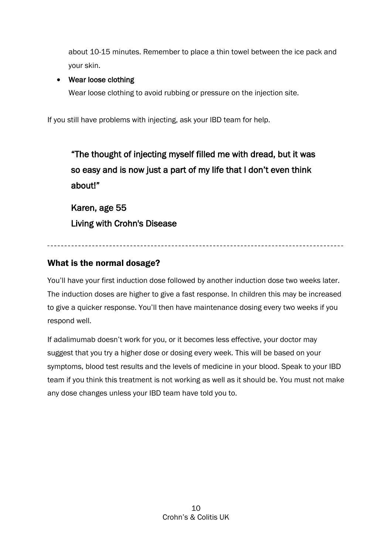about 10-15 minutes. Remember to place a thin towel between the ice pack and your skin.

# • Wear loose clothing

Wear loose clothing to avoid rubbing or pressure on the injection site.

If you still have problems with injecting, ask your IBD team for help.

"The thought of injecting myself filled me with dread, but it was so easy and is now just a part of my life that I don't even think about!" Karen, age 55 Living with Crohn's Disease

# <span id="page-9-0"></span>What is the normal dosage?

You'll have your first induction dose followed by another induction dose two weeks later. The induction doses are higher to give a fast response. In children this may be increased to give a quicker response. You'll then have maintenance dosing every two weeks if you respond well.

If adalimumab doesn't work for you, or it becomes less effective, your doctor may suggest that you try a higher dose or dosing every week. This will be based on your symptoms, blood test results and the levels of medicine in your blood. Speak to your IBD team if you think this treatment is not working as well as it should be. You must not make any dose changes unless your IBD team have told you to.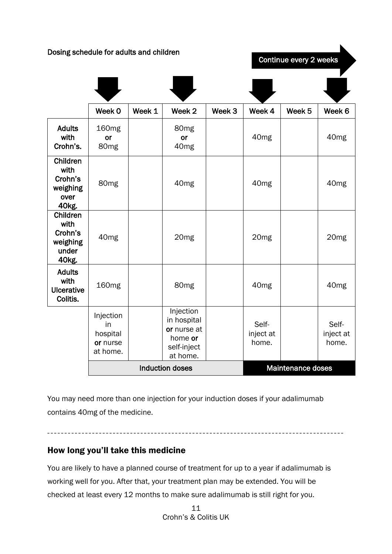Dosing schedule for adults and children | Week 0 | Week 1 | Week 2 | Week 3 | Week 4 | Week 5 | Week 6 Adults with Crohn's. 160mg or 80mg 80mg or 40mg 40mg 40mg Children with Crohn's weighing over 40kg. 80mg 40mg 40mg 40mg Children with Crohn's weighing under 40kg. 40mg 20mg 20mg 20mg Adults with **Ulcerative** Colitis. 160mg | | 80mg | | 40mg | | 40mg Injection in hospital or nurse at home. Injection in hospital or nurse at home or self-inject at home. Selfinject at home. Selfinject at home. Induction doses Maintenance doses Continue every 2 weeks

You may need more than one injection for your induction doses if your adalimumab contains 40mg of the medicine.

# <span id="page-10-0"></span>How long you'll take this medicine

You are likely to have a planned course of treatment for up to a year if adalimumab is working well for you. After that, your treatment plan may be extended. You will be checked at least every 12 months to make sure adalimumab is still right for you.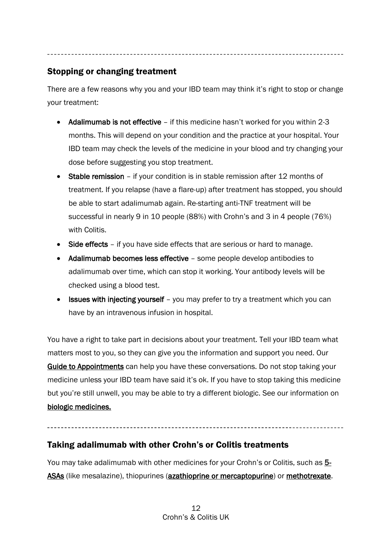# <span id="page-11-0"></span>Stopping or changing treatment

There are a few reasons why you and your IBD team may think it's right to stop or change your treatment:

- Adalimumab is not effective if this medicine hasn't worked for you within 2-3 months. This will depend on your condition and the practice at your hospital. Your IBD team may check the levels of the medicine in your blood and try changing your dose before suggesting you stop treatment.
- Stable remission if your condition is in stable remission after 12 months of treatment. If you relapse (have a flare-up) after treatment has stopped, you should be able to start adalimumab again. Re-starting anti-TNF treatment will be successful in nearly 9 in 10 people (88%) with Crohn's and 3 in 4 people (76%) with Colitis.
- Side effects if you have side effects that are serious or hard to manage.
- Adalimumab becomes less effective some people develop antibodies to adalimumab over time, which can stop it working. Your antibody levels will be checked using a blood test.
- **Issues with injecting yourself** you may prefer to try a treatment which you can have by an intravenous infusion in hospital.

You have a right to take part in decisions about your treatment. Tell your IBD team what matters most to you, so they can give you the information and support you need. Our [Guide to Appointments](https://www.crohnsandcolitis.org.uk/support/your-guide-to-appointments) can help you have these conversations. Do not stop taking your medicine unless your IBD team have said it's ok. If you have to stop taking this medicine but you're still unwell, you may be able to try a different biologic. See our information on [biologic medicines.](https://www.crohnsandcolitis.org.uk/about-crohns-and-colitis/publications/biologic-medicines)

# <span id="page-11-1"></span>Taking adalimumab with other Crohn's or Colitis treatments

You may take adalimumab with other medicines for your Crohn's or Colitis, such as [5-](https://www.crohnsandcolitis.org.uk/about-crohns-and-colitis/publications/aminosalicylates-5-asas) [ASAs](https://www.crohnsandcolitis.org.uk/about-crohns-and-colitis/publications/aminosalicylates-5-asas) (like mesalazine), thiopurines [\(azathioprine or mercaptopurine\)](https://www.crohnsandcolitis.org.uk/about-crohns-and-colitis/publications/azathioprine-mercaptopurine) or [methotrexate.](https://www.crohnsandcolitis.org.uk/about-crohns-and-colitis/publications/methotrexate)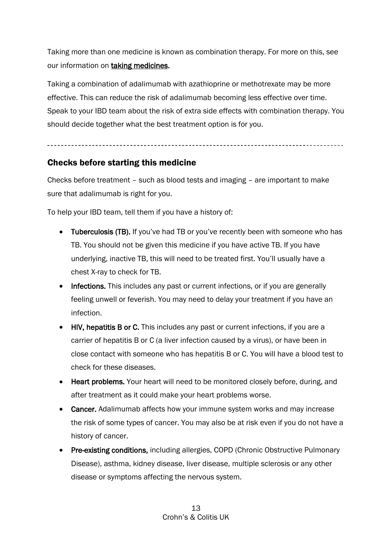Taking more than one medicine is known as combination therapy. For more on this, see our information on **taking medicines**.

Taking a combination of adalimumab with azathioprine or methotrexate may be more effective. This can reduce the risk of adalimumab becoming less effective over time. Speak to your IBD team about the risk of extra side effects with combination therapy. You should decide together what the best treatment option is for you.

# <span id="page-12-0"></span>Checks before starting this medicine

Checks before treatment – such as blood tests and imaging – are important to make sure that adalimumab is right for you.

To help your IBD team, tell them if you have a history of:

- Tuberculosis (TB). If you've had TB or you've recently been with someone who has TB. You should not be given this medicine if you have active TB. If you have underlying, inactive TB, this will need to be treated first. You'll usually have a chest X-ray to check for TB.
- Infections. This includes any past or current infections, or if you are generally feeling unwell or feverish. You may need to delay your treatment if you have an infection.
- HIV, hepatitis B or C. This includes any past or current infections, if you are a carrier of hepatitis B or C (a liver infection caused by a virus), or have been in close contact with someone who has hepatitis B or C. You will have a blood test to check for these diseases.
- Heart problems. Your heart will need to be monitored closely before, during, and after treatment as it could make your heart problems worse.
- Cancer. Adalimumab affects how your immune system works and may increase the risk of some types of cancer. You may also be at risk even if you do not have a history of cancer.
- Pre-existing conditions, including allergies, COPD (Chronic Obstructive Pulmonary Disease), asthma, kidney disease, liver disease, multiple sclerosis or any other disease or symptoms affecting the nervous system.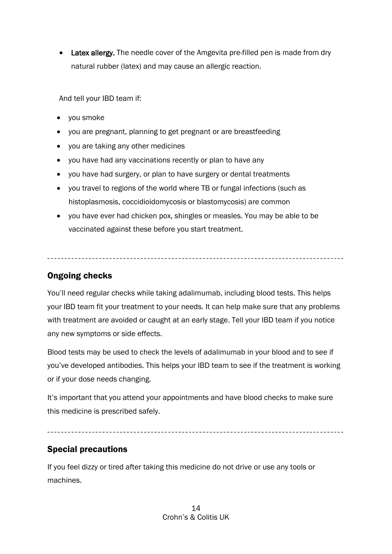• Latex allergy. The needle cover of the Amgevita pre-filled pen is made from dry natural rubber (latex) and may cause an allergic reaction.

And tell your IBD team if:

- you smoke
- you are pregnant, planning to get pregnant or are breastfeeding
- you are taking any other medicines
- you have had any vaccinations recently or plan to have any
- you have had surgery, or plan to have surgery or dental treatments
- you travel to regions of the world where TB or fungal infections (such as histoplasmosis, coccidioidomycosis or blastomycosis) are common
- you have ever had chicken pox, shingles or measles. You may be able to be vaccinated against these before you start treatment.

# <span id="page-13-0"></span>Ongoing checks

You'll need regular checks while taking adalimumab, including blood tests. This helps your IBD team fit your treatment to your needs. It can help make sure that any problems with treatment are avoided or caught at an early stage. Tell your IBD team if you notice any new symptoms or side effects.

Blood tests may be used to check the levels of adalimumab in your blood and to see if you've developed antibodies. This helps your IBD team to see if the treatment is working or if your dose needs changing.

It's important that you attend your appointments and have blood checks to make sure this medicine is prescribed safely.

#### 

# <span id="page-13-1"></span>Special precautions

If you feel dizzy or tired after taking this medicine do not drive or use any tools or machines.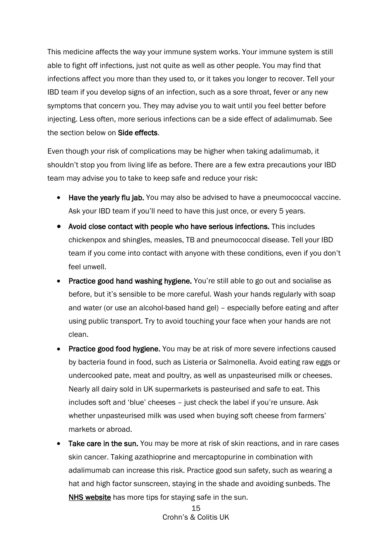This medicine affects the way your immune system works. Your immune system is still able to fight off infections, just not quite as well as other people. You may find that infections affect you more than they used to, or it takes you longer to recover. Tell your IBD team if you develop signs of an infection, such as a sore throat, fever or any new symptoms that concern you. They may advise you to wait until you feel better before injecting. Less often, more serious infections can be a side effect of adalimumab. See the section below on Side effects.

Even though your risk of complications may be higher when taking adalimumab, it shouldn't stop you from living life as before. There are a few extra precautions your IBD team may advise you to take to keep safe and reduce your risk:

- Have the yearly flu jab. You may also be advised to have a pneumococcal vaccine. Ask your IBD team if you'll need to have this just once, or every 5 years.
- Avoid close contact with people who have serious infections. This includes chickenpox and shingles, measles, TB and pneumococcal disease. Tell your IBD team if you come into contact with anyone with these conditions, even if you don't feel unwell.
- Practice good hand washing hygiene. You're still able to go out and socialise as before, but it's sensible to be more careful. Wash your hands regularly with soap and water (or use an alcohol-based hand gel) – especially before eating and after using public transport. Try to avoid touching your face when your hands are not clean.
- **Practice good food hygiene.** You may be at risk of more severe infections caused by bacteria found in food, such as Listeria or Salmonella. Avoid eating raw eggs or undercooked pate, meat and poultry, as well as unpasteurised milk or cheeses. Nearly all dairy sold in UK supermarkets is pasteurised and safe to eat. This includes soft and 'blue' cheeses – just check the label if you're unsure. Ask whether unpasteurised milk was used when buying soft cheese from farmers' markets or abroad.
- Take care in the sun. You may be more at risk of skin reactions, and in rare cases skin cancer. Taking azathioprine and mercaptopurine in combination with adalimumab can increase this risk. Practice good sun safety, such as wearing a hat and high factor sunscreen, staying in the shade and avoiding sunbeds. The [NHS website](https://www.nhs.uk/live-well/healthy-body/sunscreen-and-sun-safety/) has more tips for staying safe in the sun.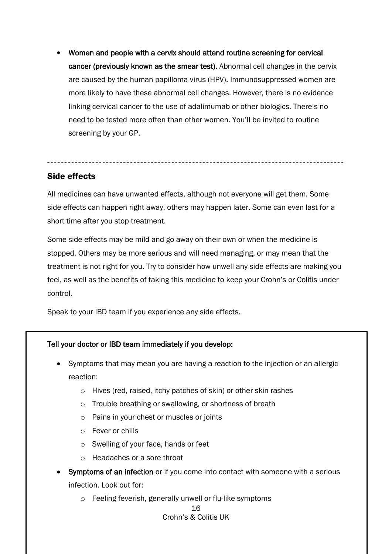• Women and people with a cervix should attend routine screening for cervical cancer (previously known as the smear test). Abnormal cell changes in the cervix are caused by the human papilloma virus (HPV). Immunosuppressed women are more likely to have these abnormal cell changes. However, there is no evidence linking cervical cancer to the use of adalimumab or other biologics. There's no need to be tested more often than other women. You'll be invited to routine screening by your GP.

# <span id="page-15-0"></span>Side effects

All medicines can have unwanted effects, although not everyone will get them. Some side effects can happen right away, others may happen later. Some can even last for a short time after you stop treatment.

Some side effects may be mild and go away on their own or when the medicine is stopped. Others may be more serious and will need managing, or may mean that the treatment is not right for you. Try to consider how unwell any side effects are making you feel, as well as the benefits of taking this medicine to keep your Crohn's or Colitis under control.

Speak to your IBD team if you experience any side effects.

### Tell your doctor or IBD team immediately if you develop:

- Symptoms that may mean you are having a reaction to the injection or an allergic reaction:
	- o Hives (red, raised, itchy patches of skin) or other skin rashes
	- o Trouble breathing or swallowing, or shortness of breath
	- o Pains in your chest or muscles or joints
	- o Fever or chills
	- o Swelling of your face, hands or feet
	- o Headaches or a sore throat
- **Symptoms of an infection** or if you come into contact with someone with a serious infection. Look out for:
	- o Feeling feverish, generally unwell or flu-like symptoms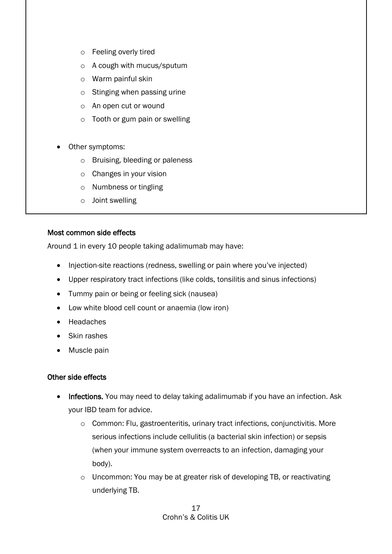- o Feeling overly tired
- o A cough with mucus/sputum
- o Warm painful skin
- o Stinging when passing urine
- o An open cut or wound
- o Tooth or gum pain or swelling
- Other symptoms:
	- o Bruising, bleeding or paleness
	- o Changes in your vision
	- o Numbness or tingling
	- o Joint swelling

#### Most common side effects

Around 1 in every 10 people taking adalimumab may have:

- Injection-site reactions (redness, swelling or pain where you've injected)
- Upper respiratory tract infections (like colds, tonsilitis and sinus infections)
- Tummy pain or being or feeling sick (nausea)
- Low white blood cell count or anaemia (low iron)
- Headaches
- Skin rashes
- Muscle pain

### Other side effects

- Infections. You may need to delay taking adalimumab if you have an infection. Ask your IBD team for advice.
	- o Common: Flu, gastroenteritis, urinary tract infections, conjunctivitis. More serious infections include cellulitis (a bacterial skin infection) or sepsis (when your immune system overreacts to an infection, damaging your body).
	- o Uncommon: You may be at greater risk of developing TB, or reactivating underlying TB.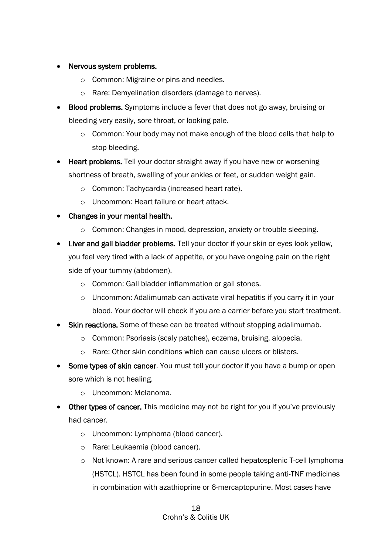### • Nervous system problems.

- o Common: Migraine or pins and needles.
- o Rare: Demyelination disorders (damage to nerves).
- Blood problems. Symptoms include a fever that does not go away, bruising or bleeding very easily, sore throat, or looking pale.
	- $\circ$  Common: Your body may not make enough of the blood cells that help to stop bleeding.
- Heart problems. Tell your doctor straight away if you have new or worsening shortness of breath, swelling of your ankles or feet, or sudden weight gain.
	- o Common: Tachycardia (increased heart rate).
	- o Uncommon: Heart failure or heart attack.
- Changes in your mental health.
	- o Common: Changes in mood, depression, anxiety or trouble sleeping.
- Liver and gall bladder problems. Tell your doctor if your skin or eyes look yellow, you feel very tired with a lack of appetite, or you have ongoing pain on the right side of your tummy (abdomen).
	- o Common: Gall bladder inflammation or gall stones.
	- $\circ$  Uncommon: Adalimumab can activate viral hepatitis if you carry it in your blood. Your doctor will check if you are a carrier before you start treatment.
- **Skin reactions.** Some of these can be treated without stopping adalimumab.
	- o Common: Psoriasis (scaly patches), eczema, bruising, alopecia.
	- o Rare: Other skin conditions which can cause ulcers or blisters.
- **Some types of skin cancer.** You must tell your doctor if you have a bump or open sore which is not healing.
	- o Uncommon: Melanoma.
- **Other types of cancer.** This medicine may not be right for you if you've previously had cancer.
	- o Uncommon: Lymphoma (blood cancer).
	- o Rare: Leukaemia (blood cancer).
	- o Not known: A rare and serious cancer called hepatosplenic T-cell lymphoma (HSTCL). HSTCL has been found in some people taking anti-TNF medicines in combination with azathioprine or 6-mercaptopurine. Most cases have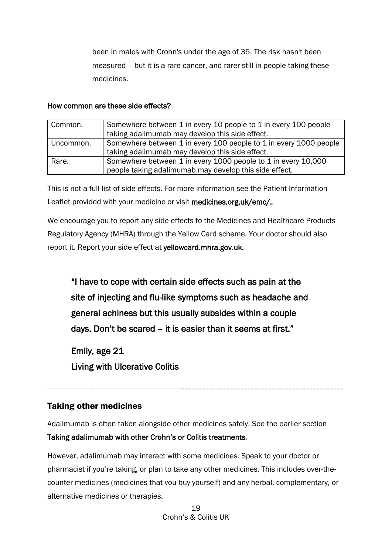been in males with Crohn's under the age of 35. The risk hasn't been measured – but it is a rare cancer, and rarer still in people taking these medicines.

#### How common are these side effects?

| Common.   | Somewhere between 1 in every 10 people to 1 in every 100 people   |  |
|-----------|-------------------------------------------------------------------|--|
|           | taking adalimumab may develop this side effect.                   |  |
| Uncommon. | Somewhere between 1 in every 100 people to 1 in every 1000 people |  |
|           | taking adalimumab may develop this side effect.                   |  |
| Rare.     | Somewhere between 1 in every 1000 people to 1 in every 10,000     |  |
|           | people taking adalimumab may develop this side effect.            |  |

This is not a full list of side effects. For more information see the Patient Information Leaflet provided with your medicine or visit [medicines.org.uk/emc/.](http://www.medicines.org.uk/emc/).

We encourage you to report any side effects to the Medicines and Healthcare Products Regulatory Agency (MHRA) through the Yellow Card scheme. Your doctor should also report it. Report your side effect at [yellowcard.mhra.gov.uk.](http://yellowcard.mhra.gov.uk/)

"I have to cope with certain side effects such as pain at the site of injecting and flu-like symptoms such as headache and general achiness but this usually subsides within a couple days. Don't be scared – it is easier than it seems at first."

Emily, age 21

Living with Ulcerative Colitis

# <span id="page-18-0"></span>Taking other medicines

Adalimumab is often taken alongside other medicines safely. See the earlier section Taking adalimumab with other Crohn's or Colitis treatments.

However, adalimumab may interact with some medicines. Speak to your doctor or pharmacist if you're taking, or plan to take any other medicines. This includes over-thecounter medicines (medicines that you buy yourself) and any herbal, complementary, or alternative medicines or therapies.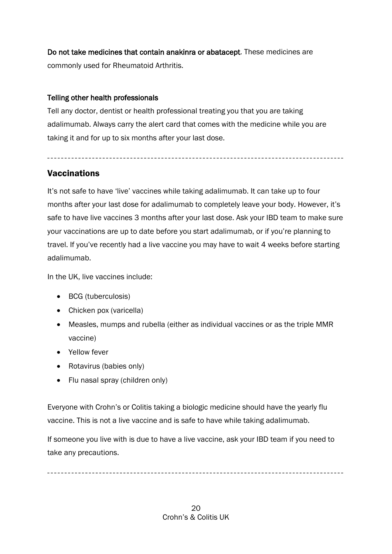Do not take medicines that contain anakinra or abatacept. These medicines are commonly used for Rheumatoid Arthritis.

### Telling other health professionals

Tell any doctor, dentist or health professional treating you that you are taking adalimumab. Always carry the alert card that comes with the medicine while you are taking it and for up to six months after your last dose.

# <span id="page-19-0"></span>**Vaccinations**

It's not safe to have 'live' vaccines while taking adalimumab. It can take up to four months after your last dose for adalimumab to completely leave your body. However, it's safe to have live vaccines 3 months after your last dose. Ask your IBD team to make sure your vaccinations are up to date before you start adalimumab, or if you're planning to travel. If you've recently had a live vaccine you may have to wait 4 weeks before starting adalimumab.

In the UK, live vaccines include:

- BCG (tuberculosis)
- Chicken pox (varicella)
- Measles, mumps and rubella (either as individual vaccines or as the triple MMR vaccine)
- Yellow fever
- Rotavirus (babies only)
- Flu nasal spray (children only)

Everyone with Crohn's or Colitis taking a biologic medicine should have the yearly flu vaccine. This is not a live vaccine and is safe to have while taking adalimumab.

If someone you live with is due to have a live vaccine, ask your IBD team if you need to take any precautions.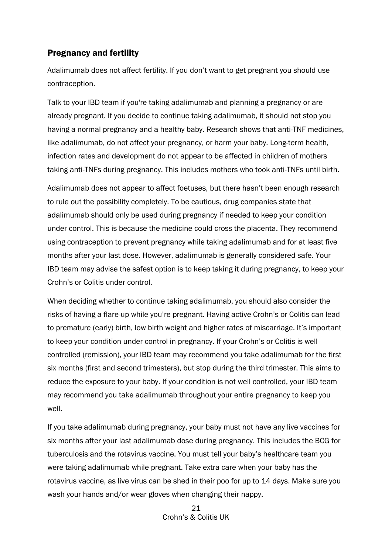# <span id="page-20-0"></span>Pregnancy and fertility

Adalimumab does not affect fertility. If you don't want to get pregnant you should use contraception.

Talk to your IBD team if you're taking adalimumab and planning a pregnancy or are already pregnant. If you decide to continue taking adalimumab, it should not stop you having a normal pregnancy and a healthy baby. Research shows that anti-TNF medicines, like adalimumab, do not affect your pregnancy, or harm your baby. Long-term health, infection rates and development do not appear to be affected in children of mothers taking anti-TNFs during pregnancy. This includes mothers who took anti-TNFs until birth.

Adalimumab does not appear to affect foetuses, but there hasn't been enough research to rule out the possibility completely. To be cautious, drug companies state that adalimumab should only be used during pregnancy if needed to keep your condition under control. This is because the medicine could cross the placenta. They recommend using contraception to prevent pregnancy while taking adalimumab and for at least five months after your last dose. However, adalimumab is generally considered safe. Your IBD team may advise the safest option is to keep taking it during pregnancy, to keep your Crohn's or Colitis under control.

When deciding whether to continue taking adalimumab, you should also consider the risks of having a flare-up while you're pregnant. Having active Crohn's or Colitis can lead to premature (early) birth, low birth weight and higher rates of miscarriage. It's important to keep your condition under control in pregnancy. If your Crohn's or Colitis is well controlled (remission), your IBD team may recommend you take adalimumab for the first six months (first and second trimesters), but stop during the third trimester. This aims to reduce the exposure to your baby. If your condition is not well controlled, your IBD team may recommend you take adalimumab throughout your entire pregnancy to keep you well.

If you take adalimumab during pregnancy, your baby must not have any live vaccines for six months after your last adalimumab dose during pregnancy. This includes the BCG for tuberculosis and the rotavirus vaccine. You must tell your baby's healthcare team you were taking adalimumab while pregnant. Take extra care when your baby has the rotavirus vaccine, as live virus can be shed in their poo for up to 14 days. Make sure you wash your hands and/or wear gloves when changing their nappy.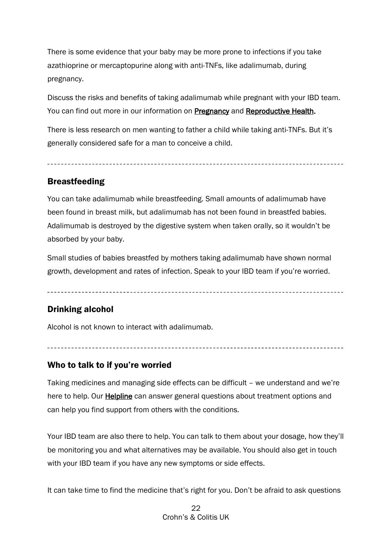There is some evidence that your baby may be more prone to infections if you take azathioprine or mercaptopurine along with anti-TNFs, like adalimumab, during pregnancy.

Discuss the risks and benefits of taking adalimumab while pregnant with your IBD team. You can find out more in our information on [Pregnancy](https://www.crohnsandcolitis.org.uk/about-crohns-and-colitis/publications/pregnancy-ibd) and [Reproductive Health.](https://www.crohnsandcolitis.org.uk/about-crohns-and-colitis/publications/reproductive-health-and-ibd)

There is less research on men wanting to father a child while taking anti-TNFs. But it's generally considered safe for a man to conceive a child.

# <span id="page-21-0"></span>Breastfeeding

You can take adalimumab while breastfeeding. Small amounts of adalimumab have been found in breast milk, but adalimumab has not been found in breastfed babies. Adalimumab is destroyed by the digestive system when taken orally, so it wouldn't be absorbed by your baby.

Small studies of babies breastfed by mothers taking adalimumab have shown normal growth, development and rates of infection. Speak to your IBD team if you're worried.

# <span id="page-21-1"></span>Drinking alcohol

Alcohol is not known to interact with adalimumab.

### <span id="page-21-2"></span>Who to talk to if you're worried

Taking medicines and managing side effects can be difficult – we understand and we're here to help. Our [Helpline](https://www.crohnsandcolitis.org.uk/support/helpline) can answer general questions about treatment options and can help you find support from others with the conditions.

Your IBD team are also there to help. You can talk to them about your dosage, how they'll be monitoring you and what alternatives may be available. You should also get in touch with your IBD team if you have any new symptoms or side effects.

It can take time to find the medicine that's right for you. Don't be afraid to ask questions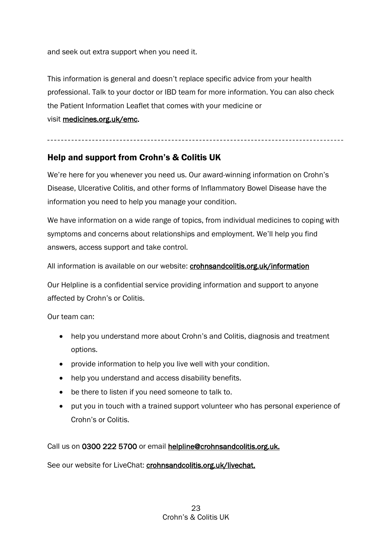and seek out extra support when you need it.

This information is general and doesn't replace specific advice from your health professional. Talk to your doctor or IBD team for more information. You can also check the Patient Information Leaflet that comes with your medicine or visit [medicines.org.uk/emc.](http://www.medicines.org.uk/emc)

#### 

# <span id="page-22-0"></span>Help and support from Crohn's & Colitis UK

We're here for you whenever you need us. Our award-winning information on Crohn's Disease, Ulcerative Colitis, and other forms of Inflammatory Bowel Disease have the information you need to help you manage your condition.

We have information on a wide range of topics, from individual medicines to coping with symptoms and concerns about relationships and employment. We'll help you find answers, access support and take control.

All information is available on our website: [crohnsandcolitis.org.uk/information](http://www.crohnsandcolitis.org.uk/publications) 

Our Helpline is a confidential service providing information and support to anyone affected by Crohn's or Colitis.

Our team can:

- help you understand more about Crohn's and Colitis, diagnosis and treatment options.
- provide information to help you live well with your condition.
- help you understand and access disability benefits.
- be there to listen if you need someone to talk to.
- put you in touch with a trained support volunteer who has personal experience of Crohn's or Colitis.

Call us on 0300 222 5700 or email [helpline@crohnsandcolitis.org.uk.](mailto:helpline@crohnsandcolitis.org.uk)

See our website for LiveChat: [crohnsandcolitis.org.uk/livechat.](http://www.crohnsandcolitis.org.uk/livechat)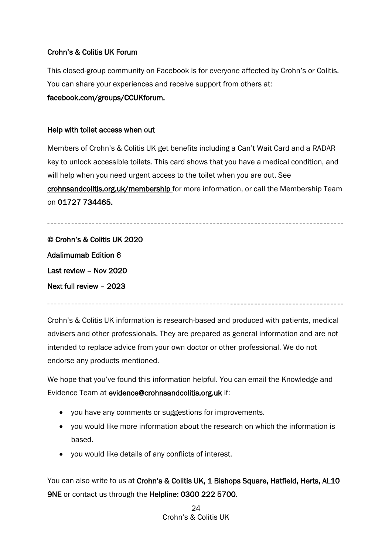#### Crohn's & Colitis UK Forum

This closed-group community on Facebook is for everyone affected by Crohn's or Colitis. You can share your experiences and receive support from others at: [facebook.com/groups/CCUKforum.](http://www.facebook.com/groups/CCUKforum)

#### Help with toilet access when out

Members of Crohn's & Colitis UK get benefits including a Can't Wait Card and a RADAR key to unlock accessible toilets. This card shows that you have a medical condition, and will help when you need urgent access to the toilet when you are out. See [crohnsandcolitis.org.uk/membership](http://www.crohnsandcolitis.org.uk/membership) for more information, or call the Membership Team on 01727 734465.

© Crohn's & Colitis UK 2020 Adalimumab Edition 6 Last review – Nov 2020 Next full review – 2023

Crohn's & Colitis UK information is research-based and produced with patients, medical advisers and other professionals. They are prepared as general information and are not intended to replace advice from your own doctor or other professional. We do not endorse any products mentioned.

We hope that you've found this information helpful. You can email the Knowledge and Evidence Team at [evidence@crohnsandcolitis.org.uk](mailto:evidence@crohnsandcolitis.org.uk) if:

- you have any comments or suggestions for improvements.
- you would like more information about the research on which the information is based.
- you would like details of any conflicts of interest.

You can also write to us at Crohn's & Colitis UK, 1 Bishops Square, Hatfield, Herts, AL10 9NE or contact us through the Helpline: 0300 222 5700.